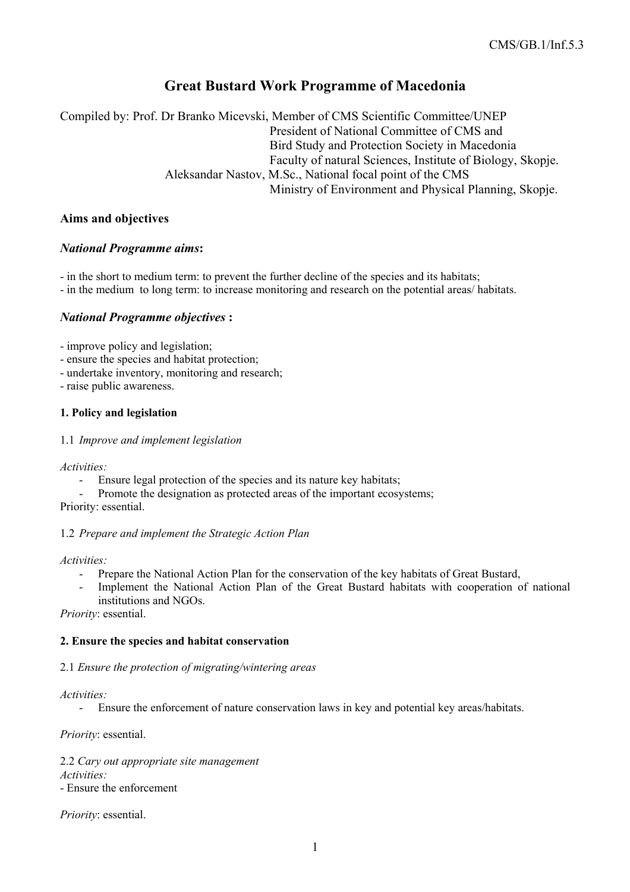# **Great Bustard Work Programme of Macedonia**

Compiled by: Prof. Dr Branko Micevski, Member of CMS Scientific Committee/UNEP President of National Committee of CMS and Bird Study and Protection Society in Macedonia Faculty of natural Sciences, Institute of Biology, Skopje. Aleksandar Nastov, M.Sc., National focal point of the CMS Ministry of Environment and Physical Planning, Skopje.

## **Aims and objectives**

# *National Programme aims***:**

- in the short to medium term: to prevent the further decline of the species and its habitats;

- in the medium to long term: to increase monitoring and research on the potential areas/ habitats.

# *National Programme objectives* **:**

- improve policy and legislation;

- ensure the species and habitat protection;
- undertake inventory, monitoring and research;
- raise public awareness.

## **1. Policy and legislation**

#### 1.1 *Improve and implement legislation*

*Activities:*

- Ensure legal protection of the species and its nature key habitats;
- Promote the designation as protected areas of the important ecosystems;

Priority: essential.

## 1.2 *Prepare and implement the Strategic Action Plan*

*Activities:* 

- Prepare the National Action Plan for the conservation of the key habitats of Great Bustard,
- Implement the National Action Plan of the Great Bustard habitats with cooperation of national institutions and NGOs.

*Priority*: essential.

## **2. Ensure the species and habitat conservation**

## 2.1 *Ensure the protection of migrating/wintering areas*

*Activities:*

- Ensure the enforcement of nature conservation laws in key and potential key areas/habitats.

*Priority*: essential.

2.2 *Cary out appropriate site management Activities:* - Ensure the enforcement

*Priority*: essential.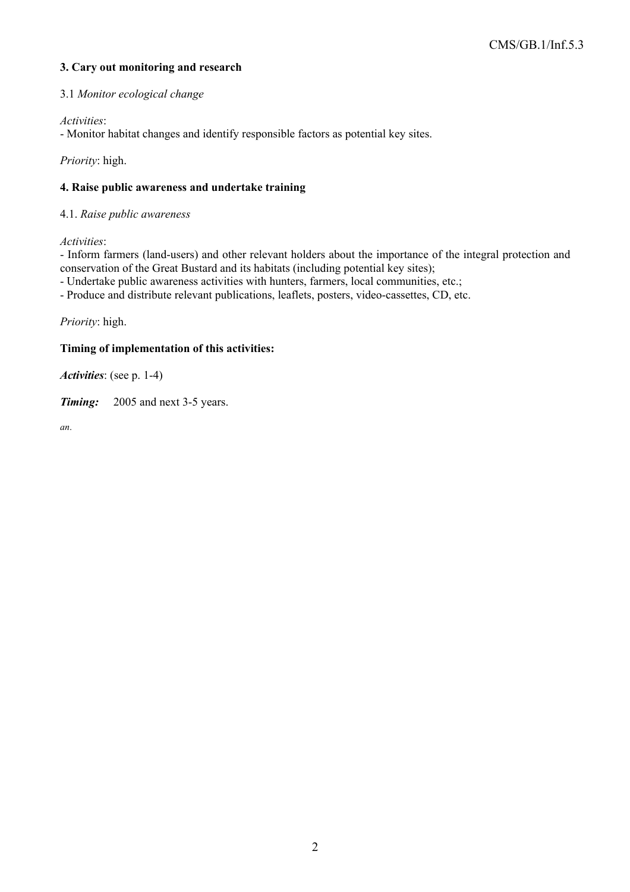# **3. Cary out monitoring and research**

#### 3.1 *Monitor ecological change*

*Activities*:

- Monitor habitat changes and identify responsible factors as potential key sites.

*Priority*: high.

#### **4. Raise public awareness and undertake training**

#### 4.1. *Raise public awareness*

*Activities*:

- Inform farmers (land-users) and other relevant holders about the importance of the integral protection and conservation of the Great Bustard and its habitats (including potential key sites);

- Undertake public awareness activities with hunters, farmers, local communities, etc.;

- Produce and distribute relevant publications, leaflets, posters, video-cassettes, CD, etc.

*Priority*: high.

#### **Timing of implementation of this activities:**

*Activities*: (see p. 1-4)

*Timing:* 2005 and next 3-5 years.

*an*.